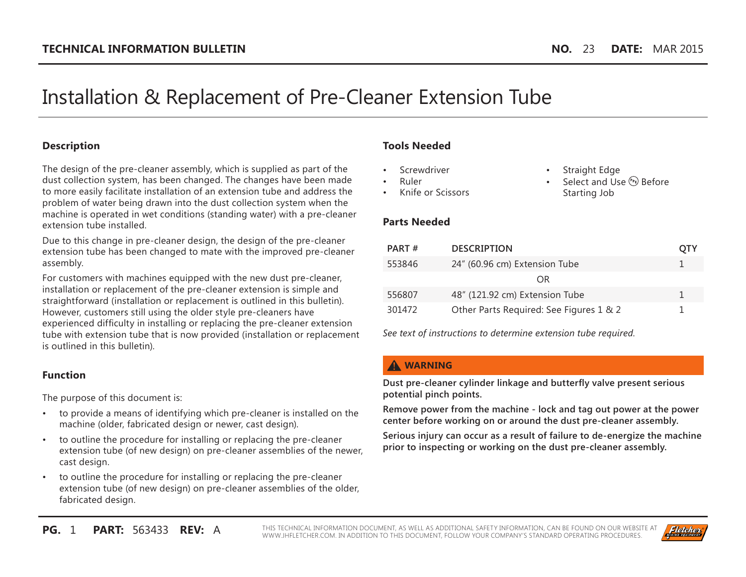# Installation & Replacement of Pre-Cleaner Extension Tube

#### **Description**

The design of the pre-cleaner assembly, which is supplied as part of the dust collection system, has been changed. The changes have been made to more easily facilitate installation of an extension tube and address the problem of water being drawn into the dust collection system when the machine is operated in wet conditions (standing water) with a pre-cleaner extension tube installed.

Due to this change in pre-cleaner design, the design of the pre-cleaner extension tube has been changed to mate with the improved pre-cleaner assembly.

For customers with machines equipped with the new dust pre-cleaner, installation or replacement of the pre-cleaner extension is simple and straightforward (installation or replacement is outlined in this bulletin). However, customers still using the older style pre-cleaners have experienced difficulty in installing or replacing the pre-cleaner extension tube with extension tube that is now provided (installation or replacement is outlined in this bulletin).

#### **Function**

The purpose of this document is:

- to provide a means of identifying which pre-cleaner is installed on the machine (older, fabricated design or newer, cast design).
- to outline the procedure for installing or replacing the pre-cleaner extension tube (of new design) on pre-cleaner assemblies of the newer, cast design.
- to outline the procedure for installing or replacing the pre-cleaner extension tube (of new design) on pre-cleaner assemblies of the older, fabricated design.

## **Tools Needed**

- **Screwdriver**
- Ruler
- Knife or Scissors
- Straight Edge
- Select and Use  $(P_{P})$  Before Starting Job

## **Parts Needed**

| <b>DESCRIPTION</b>                      | OTY |
|-----------------------------------------|-----|
| 24" (60.96 cm) Extension Tube           | L.  |
| OR                                      |     |
| 48" (121.92 cm) Extension Tube          | 1.  |
| Other Parts Required: See Figures 1 & 2 |     |
|                                         |     |

*See text of instructions to determine extension tube required.*

## **A** WARNING

**Dust pre-cleaner cylinder linkage and butterfly valve present serious potential pinch points.**

**Remove power from the machine - lock and tag out power at the power center before working on or around the dust pre-cleaner assembly.**

**Serious injury can occur as a result of failure to de-energize the machine prior to inspecting or working on the dust pre-cleaner assembly.**

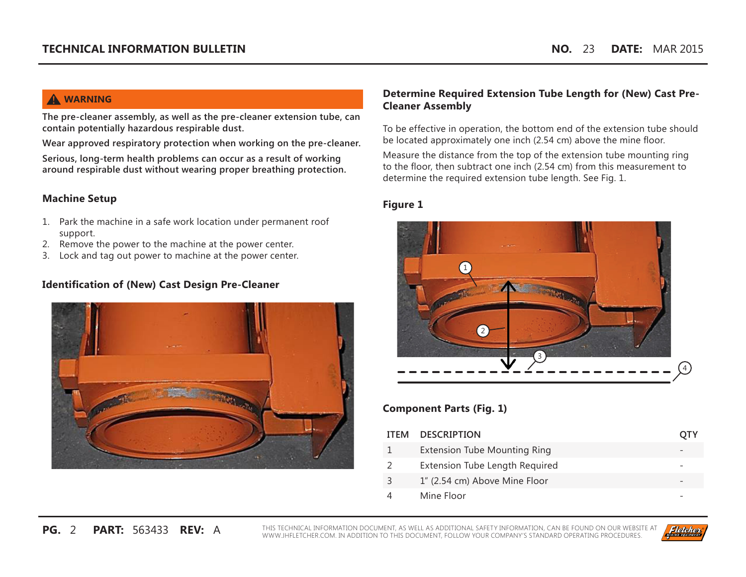# **A** WARNING

**The pre-cleaner assembly, as well as the pre-cleaner extension tube, can contain potentially hazardous respirable dust.**

**Wear approved respiratory protection when working on the pre-cleaner.**

**Serious, long-term health problems can occur as a result of working around respirable dust without wearing proper breathing protection.**

## **Machine Setup**

- 1. Park the machine in a safe work location under permanent roof support.
- 2. Remove the power to the machine at the power center.
- 3. Lock and tag out power to machine at the power center.

## **Identification of (New) Cast Design Pre-Cleaner**



## **Determine Required Extension Tube Length for (New) Cast Pre-Cleaner Assembly**

To be effective in operation, the bottom end of the extension tube should be located approximately one inch (2.54 cm) above the mine floor.

Measure the distance from the top of the extension tube mounting ring to the floor, then subtract one inch (2.54 cm) from this measurement to determine the required extension tube length. See Fig. 1.

#### **Figure 1**



## **Component Parts (Fig. 1)**

| <b>ITEM</b> | <b>DESCRIPTION</b>                  | OIY |
|-------------|-------------------------------------|-----|
|             | <b>Extension Tube Mounting Ring</b> |     |
|             | Extension Tube Length Required      |     |
|             | 1" (2.54 cm) Above Mine Floor       |     |
|             | Mine Floor                          |     |

**PG.** 2 **PART:** 563433 **REV:** A THIS TECHNICAL INFORMATION DOCUMENT, AS WELL AS ADDITIONAL SAFETY INFORMATION, CAN BE FOUND ON OUR WEBSITE AT WWW.JHFLETCHER.COM. IN ADDITION TO THIS DOCUMENT, FOLLOW YOUR COMPANY'S STANDARD OPERATING PROCEDURES.

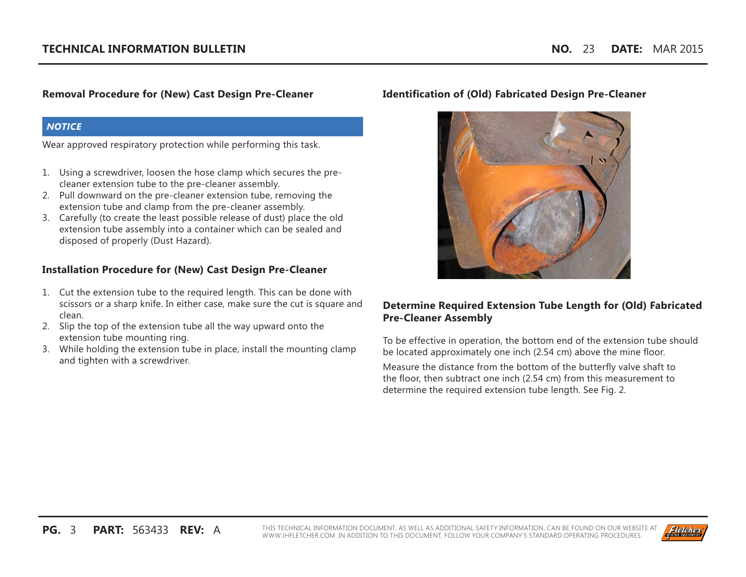## **Removal Procedure for (New) Cast Design Pre-Cleaner**

#### *NOTICE*

Wear approved respiratory protection while performing this task.

- 1. Using a screwdriver, loosen the hose clamp which secures the precleaner extension tube to the pre-cleaner assembly.
- 2. Pull downward on the pre-cleaner extension tube, removing the extension tube and clamp from the pre-cleaner assembly.
- 3. Carefully (to create the least possible release of dust) place the old extension tube assembly into a container which can be sealed and disposed of properly (Dust Hazard).

## **Installation Procedure for (New) Cast Design Pre-Cleaner**

- 1. Cut the extension tube to the required length. This can be done with scissors or a sharp knife. In either case, make sure the cut is square and clean.
- 2. Slip the top of the extension tube all the way upward onto the extension tube mounting ring.
- 3. While holding the extension tube in place, install the mounting clamp and tighten with a screwdriver.

#### **Identification of (Old) Fabricated Design Pre-Cleaner**



## **Determine Required Extension Tube Length for (Old) Fabricated Pre-Cleaner Assembly**

To be effective in operation, the bottom end of the extension tube should be located approximately one inch (2.54 cm) above the mine floor.

Measure the distance from the bottom of the butterfly valve shaft to the floor, then subtract one inch (2.54 cm) from this measurement to determine the required extension tube length. See Fig. 2.

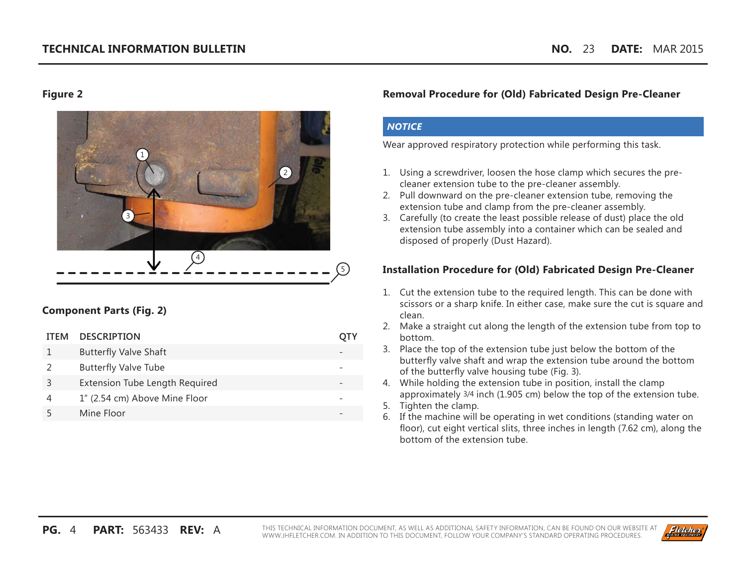#### **Figure 2**



## **Component Parts (Fig. 2)**

| <b>ITEM</b> | <b>DESCRIPTION</b>             |  |
|-------------|--------------------------------|--|
|             | <b>Butterfly Valve Shaft</b>   |  |
|             | <b>Butterfly Valve Tube</b>    |  |
|             | Extension Tube Length Required |  |
|             | 1" (2.54 cm) Above Mine Floor  |  |
|             | Mine Floor                     |  |

#### **Removal Procedure for (Old) Fabricated Design Pre-Cleaner**

#### *NOTICE*

Wear approved respiratory protection while performing this task.

- 1. Using a screwdriver, loosen the hose clamp which secures the precleaner extension tube to the pre-cleaner assembly.
- 2. Pull downward on the pre-cleaner extension tube, removing the extension tube and clamp from the pre-cleaner assembly.
- 3. Carefully (to create the least possible release of dust) place the old extension tube assembly into a container which can be sealed and disposed of properly (Dust Hazard).

## **Installation Procedure for (Old) Fabricated Design Pre-Cleaner**

- 1. Cut the extension tube to the required length. This can be done with scissors or a sharp knife. In either case, make sure the cut is square and clean.
- 2. Make a straight cut along the length of the extension tube from top to bottom.
- 3. Place the top of the extension tube just below the bottom of the butterfly valve shaft and wrap the extension tube around the bottom of the butterfly valve housing tube (Fig. 3).
- 4. While holding the extension tube in position, install the clamp approximately 3/4 inch (1.905 cm) below the top of the extension tube.
- 5. Tighten the clamp.
- 6. If the machine will be operating in wet conditions (standing water on floor), cut eight vertical slits, three inches in length (7.62 cm), along the bottom of the extension tube.

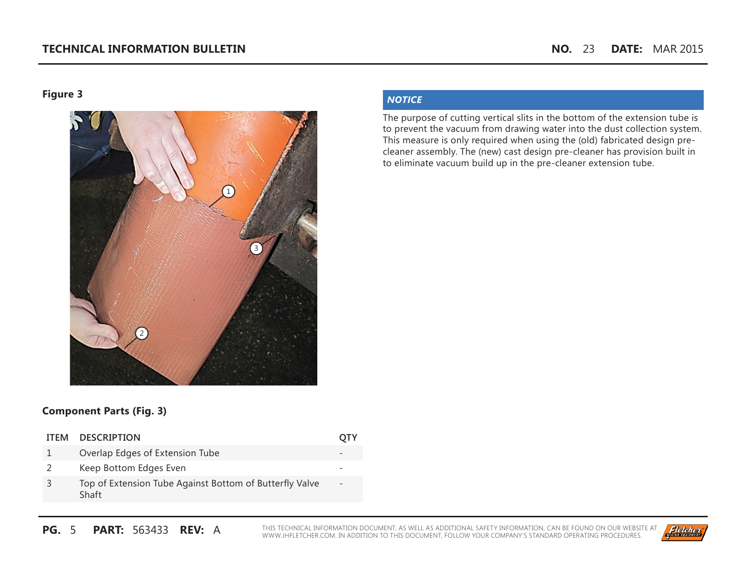**Figure 3**



## *NOTICE*

The purpose of cutting vertical slits in the bottom of the extension tube is to prevent the vacuum from drawing water into the dust collection system. This measure is only required when using the (old) fabricated design precleaner assembly. The (new) cast design pre-cleaner has provision built in to eliminate vacuum build up in the pre-cleaner extension tube.

## **Component Parts (Fig. 3)**

2 Keep Bottom Edges Even

| ITEM DESCRIPTION                |  |
|---------------------------------|--|
| Overlap Edges of Extension Tube |  |

3 Top of Extension Tube Against Bottom of Butterfly Valve Shaft -